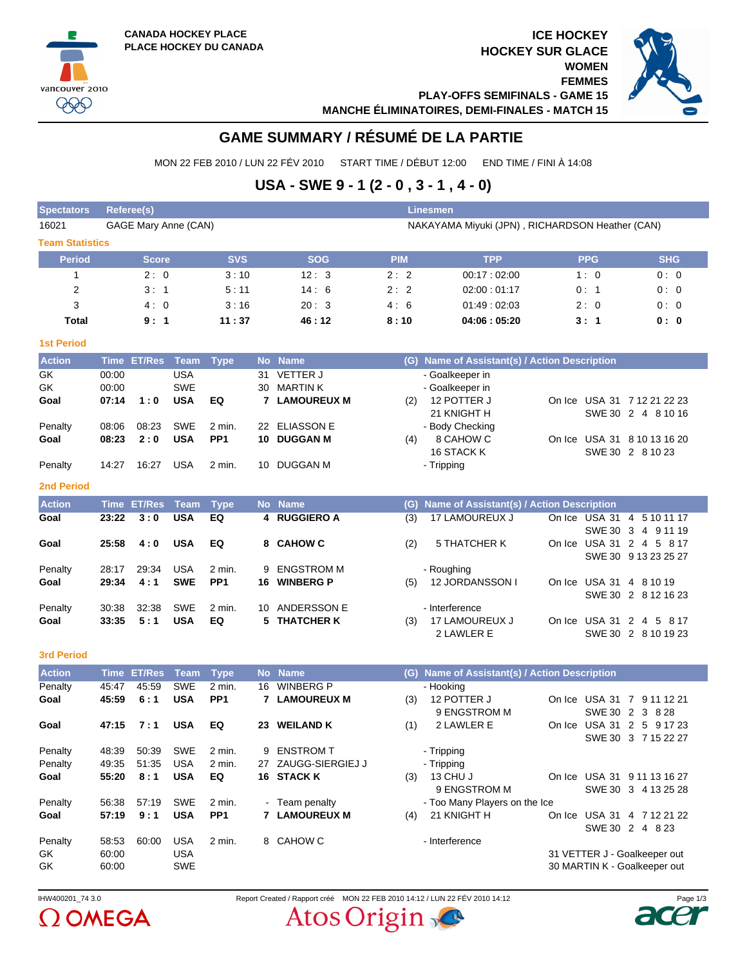vancouver 2010  $QQQ$ 





**PLAY-OFFS SEMIFINALS - GAME 15 MANCHE ÉLIMINATOIRES, DEMI-FINALES - MATCH 15**

# **GAME SUMMARY / RÉSUMÉ DE LA PARTIE**

MON 22 FEB 2010 / LUN 22 FÉV 2010 START TIME / DÉBUT 12:00 END TIME / FINI À 14:08

## **USA - SWE 9 - 1 (2 - 0 , 3 - 1 , 4 - 0)**

| <b>Spectators</b>      | <b>Referee(s)</b><br><b>Linesmen</b> |                    |            |                 |    |                      |            |                                               |                                                 |            |                                                |  |  |  |
|------------------------|--------------------------------------|--------------------|------------|-----------------|----|----------------------|------------|-----------------------------------------------|-------------------------------------------------|------------|------------------------------------------------|--|--|--|
| 16021                  | GAGE Mary Anne (CAN)                 |                    |            |                 |    |                      |            |                                               | NAKAYAMA Miyuki (JPN), RICHARDSON Heather (CAN) |            |                                                |  |  |  |
| <b>Team Statistics</b> |                                      |                    |            |                 |    |                      |            |                                               |                                                 |            |                                                |  |  |  |
| <b>Period</b>          |                                      | <b>Score</b>       |            | <b>SVS</b>      |    | <b>SOG</b>           | <b>PIM</b> | <b>TPP</b>                                    |                                                 | <b>PPG</b> | <b>SHG</b>                                     |  |  |  |
| $\mathbf{1}$           |                                      | 2:0                |            | 3:10            |    | 12:3                 | 2:2        | 00:17:02:00                                   |                                                 | 1:0        | 0:0                                            |  |  |  |
| 2                      |                                      | 3:1                |            | 5:11            |    | 14:6                 | 2:2        | 02:00:01:17                                   |                                                 | 0:1        | 0:0                                            |  |  |  |
| 3                      |                                      | 4:0                |            | 3:16            |    | 20:3                 | 4:6        | 01.49:02.03                                   |                                                 | 2:0        | 0:0                                            |  |  |  |
| Total                  |                                      | 9:1                |            | 11:37           |    | 46:12                | 8:10       | 04:06:05:20                                   |                                                 | 3: 1       | 0: 0                                           |  |  |  |
| <b>1st Period</b>      |                                      |                    |            |                 |    |                      |            |                                               |                                                 |            |                                                |  |  |  |
| <b>Action</b>          |                                      | Time ET/Res        | Team       | <b>Type</b>     |    | No Name              |            | (G) Name of Assistant(s) / Action Description |                                                 |            |                                                |  |  |  |
| GK                     | 00:00                                |                    | <b>USA</b> |                 |    | 31 VETTER J          |            | - Goalkeeper in                               |                                                 |            |                                                |  |  |  |
| GK                     | 00:00                                |                    | <b>SWE</b> |                 | 30 | <b>MARTIN K</b>      |            | - Goalkeeper in                               |                                                 |            |                                                |  |  |  |
| Goal                   | 07:14                                | 1:0                | <b>USA</b> | EQ              |    | <b>7 LAMOUREUX M</b> | (2)        | 12 POTTER J                                   |                                                 |            | On Ice USA 31 7 12 21 22 23                    |  |  |  |
|                        |                                      |                    |            |                 |    |                      |            | 21 KNIGHT H                                   |                                                 |            | SWE 30 2 4 8 10 16                             |  |  |  |
| Penalty                | 08:06                                | 08:23              | <b>SWE</b> | 2 min.          |    | 22 ELIASSON E        |            | - Body Checking                               |                                                 |            |                                                |  |  |  |
| Goal                   | 08:23                                | 2:0                | <b>USA</b> | PP <sub>1</sub> | 10 | <b>DUGGAN M</b>      | (4)        | 8 CAHOW C                                     |                                                 |            | On Ice USA 31 8 10 13 16 20                    |  |  |  |
|                        |                                      |                    |            |                 |    |                      |            | 16 STACK K                                    |                                                 |            | SWE 30 2 8 10 23                               |  |  |  |
| Penalty                | 14:27                                | 16:27              | <b>USA</b> | 2 min.          | 10 | DUGGAN M             |            | - Tripping                                    |                                                 |            |                                                |  |  |  |
| <b>2nd Period</b>      |                                      |                    |            |                 |    |                      |            |                                               |                                                 |            |                                                |  |  |  |
| <b>Action</b>          |                                      | <b>Time ET/Res</b> | Team       | <b>Type</b>     |    | No Name              |            | (G) Name of Assistant(s) / Action Description |                                                 |            |                                                |  |  |  |
| Goal                   | 23:22                                | 3:0                | <b>USA</b> | EQ              |    | 4 RUGGIERO A         | (3)        | 17 LAMOUREUX J                                |                                                 |            | On Ice USA 31 4 5 10 11 17                     |  |  |  |
|                        |                                      |                    |            |                 |    |                      |            |                                               |                                                 |            | SWE 30 3 4 9 11 19                             |  |  |  |
| Goal                   | 25:58                                | 4:0                | <b>USA</b> | EQ              |    | 8 CAHOW C            | (2)        | 5 THATCHER K                                  |                                                 |            | On Ice USA 31 2 4 5 8 17                       |  |  |  |
|                        |                                      |                    |            |                 |    |                      |            |                                               |                                                 |            | SWE 30 9 13 23 25 27                           |  |  |  |
| Penalty                | 28:17                                | 29:34              | <b>USA</b> | 2 min.          | 9  | <b>ENGSTROM M</b>    |            | - Roughing                                    |                                                 |            |                                                |  |  |  |
| Goal                   | 29:34                                | 4:1                | <b>SWE</b> | PP <sub>1</sub> | 16 | <b>WINBERG P</b>     | (5)        | 12 JORDANSSON I                               |                                                 |            | On Ice USA 31 4 8 10 19<br>SWE 30 2 8 12 16 23 |  |  |  |
| Penalty                | 30:38                                | 32:38              | <b>SWE</b> | 2 min.          |    | 10 ANDERSSON E       |            | - Interference                                |                                                 |            |                                                |  |  |  |
| Goal                   | 33:35                                | 5:1                | <b>USA</b> | EQ              | 5. | <b>THATCHER K</b>    | (3)        | 17 LAMOUREUX J                                |                                                 |            | On Ice USA 31 2 4 5 8 17                       |  |  |  |
|                        |                                      |                    |            |                 |    |                      |            | 2 LAWLER E                                    |                                                 |            | SWE 30 2 8 10 19 23                            |  |  |  |
|                        |                                      |                    |            |                 |    |                      |            |                                               |                                                 |            |                                                |  |  |  |
| <b>3rd Period</b>      |                                      |                    |            |                 |    |                      |            |                                               |                                                 |            |                                                |  |  |  |
| <b>Action</b>          |                                      | <b>Time ET/Res</b> | Team       | <b>Type</b>     |    | No Name              |            | (G) Name of Assistant(s) / Action Description |                                                 |            |                                                |  |  |  |
| Penalty                | 45:47                                | 45:59              | <b>SWE</b> | 2 min.          | 16 | <b>WINBERG P</b>     |            | - Hooking                                     |                                                 |            |                                                |  |  |  |
| Goal                   | 45:59                                | 6:1                | <b>USA</b> | PP <sub>1</sub> |    | <b>7 LAMOUREUX M</b> | (3)        | 12 POTTER J<br>9 ENGSTROM M                   |                                                 |            | On Ice USA 31 7 9 11 12 21<br>SWE 30 2 3 8 28  |  |  |  |
| Goal                   | 47:15                                | 7:1                | <b>USA</b> | EQ              |    | 23 WEILAND K         | (1)        | 2 LAWLER E                                    |                                                 |            | On Ice USA 31 2 5 9 17 23                      |  |  |  |
|                        |                                      |                    |            |                 |    |                      |            |                                               |                                                 |            | SWE 30 3 7 15 22 27                            |  |  |  |
| Penalty                | 48:39                                | 50:39              | SWE        | 2 min.          |    | 9 ENSTROM T          |            | Tripping                                      |                                                 |            |                                                |  |  |  |
| Penalty                | 49.35                                | 51:35              | <b>USA</b> | 2 min.          |    | 27 ZAUGG-SIERGIEJ J  |            | - Tripping                                    |                                                 |            |                                                |  |  |  |
| Goal                   | 55:20                                | 8:1                | <b>USA</b> | EQ              |    | 16 STACK K           |            | $(3)$ 13 CHU J                                |                                                 |            | On Ice USA 31 9 11 13 16 27                    |  |  |  |
|                        |                                      |                    |            |                 |    |                      |            | 9 ENGSTROM M                                  |                                                 |            | SWE 30 3 4 13 25 28                            |  |  |  |
| Penalty                | 56:38                                | 57:19              | <b>SWE</b> | 2 min.          |    | - Team penalty       |            | - Too Many Players on the Ice                 |                                                 |            |                                                |  |  |  |
| Goal                   | 57:19                                | 9:1                | <b>USA</b> | PP <sub>1</sub> |    | 7 LAMOUREUX M        | (4)        | 21 KNIGHT H                                   |                                                 |            | On Ice USA 31 4 7 12 21 22                     |  |  |  |
|                        |                                      |                    |            |                 |    |                      |            |                                               |                                                 |            | SWE 30 2 4 8 23                                |  |  |  |
| Penalty                | 58.53                                | 60:00              | USA        | 2 min.          |    | 8 CAHOW C            |            | - Interference                                |                                                 |            |                                                |  |  |  |
| GK                     | 60:00                                |                    | <b>USA</b> |                 |    |                      |            |                                               |                                                 |            | 31 VETTER J - Goalkeeper out                   |  |  |  |
| GK                     | 60:00                                |                    | SWE        |                 |    |                      |            |                                               |                                                 |            | 30 MARTIN K - Goalkeeper out                   |  |  |  |



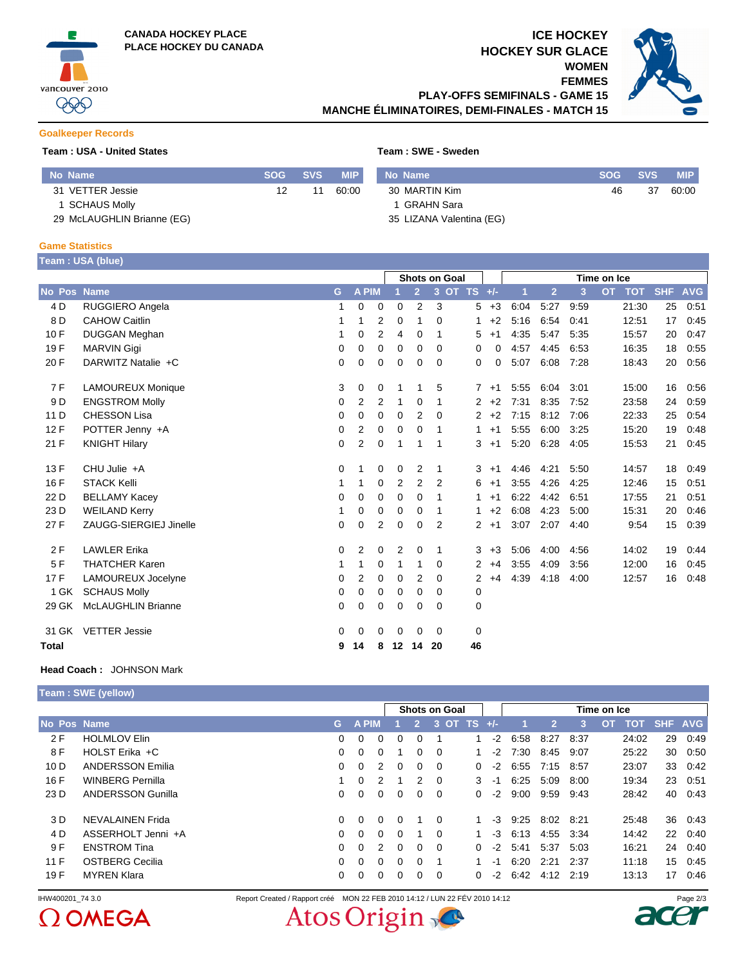

## **ICE HOCKEY HOCKEY SUR GLACE WOMEN**

**FEMMES**



**PLAY-OFFS SEMIFINALS - GAME 15 MANCHE ÉLIMINATOIRES, DEMI-FINALES - MATCH 15**

#### **Goalkeeper Records**

#### **Team : USA - United States Team : SWE - Sweden**

| No Name                    | <b>SOG</b> | <b>SVS</b> | <b>MIP</b> | No Name                  | <b>SOG</b> | <b>SVS</b> | <b>MIP</b> |
|----------------------------|------------|------------|------------|--------------------------|------------|------------|------------|
| 31 VETTER Jessie           | 12         |            | 60:00      | 30 MARTIN Kim            | 46         | 37         | 60:00      |
| I SCHAUS Molly             |            |            |            | 1 GRAHN Sara             |            |            |            |
| 29 McLAUGHLIN Brianne (EG) |            |            |            | 35 LIZANA Valentina (EG) |            |            |            |

#### **Game Statistics**

| Team: USA (blue) |  |  |
|------------------|--|--|
|                  |  |  |

|              |                           |             |                |                | <b>Shots on Goal</b> |                |                |             | Time on Ice            |      |                |      |                         |            |            |
|--------------|---------------------------|-------------|----------------|----------------|----------------------|----------------|----------------|-------------|------------------------|------|----------------|------|-------------------------|------------|------------|
| No Pos Name  |                           | G           | A PIM          |                |                      | $\overline{2}$ |                | 3 OT TS +/- |                        | 1    | $\overline{2}$ | 3    | <b>OT</b><br><b>TOT</b> | <b>SHF</b> | <b>AVG</b> |
| 4 D          | RUGGIERO Angela           | 1           | $\mathbf 0$    | $\mathbf 0$    | 0                    | $\overline{2}$ | 3              |             | 5<br>$+3$              | 6:04 | 5:27           | 9:59 | 21:30                   | 25         | 0:51       |
| 8 D          | <b>CAHOW Caitlin</b>      |             | 1              | $\overline{2}$ | 0                    | 1              | $\Omega$       | 1           | $+2$                   | 5:16 | 6:54           | 0:41 | 12:51                   | 17         | 0:45       |
| 10F          | <b>DUGGAN Meghan</b>      |             | 0              | $\overline{2}$ | 4                    | 0              | 1              | 5           | $+1$                   | 4:35 | 5:47           | 5:35 | 15:57                   | 20         | 0:47       |
| 19F          | <b>MARVIN Gigi</b>        | 0           | 0              | 0              | 0                    | 0              | $\Omega$       | 0           | 0                      | 4:57 | 4:45           | 6:53 | 16:35                   | 18         | 0:55       |
| 20 F         | DARWITZ Natalie +C        | 0           | 0              | 0              | 0                    | 0              | 0              | 0           | 0                      | 5:07 | 6:08           | 7:28 | 18:43                   | 20         | 0:56       |
| 7F           | <b>LAMOUREUX Monique</b>  | 3           | 0              | 0              |                      | 1              | 5              |             | $+1$<br>$7^{\circ}$    | 5:55 | 6:04           | 3:01 | 15:00                   | 16         | 0:56       |
| 9 D          | <b>ENGSTROM Molly</b>     | 0           | 2              | $\overline{2}$ | 1                    | 0              | 1              |             | $\overline{2}$<br>$+2$ | 7:31 | 8:35           | 7:52 | 23:58                   | 24         | 0:59       |
| 11 D         | <b>CHESSON Lisa</b>       | 0           | $\mathbf 0$    | $\mathbf 0$    | 0                    | 2              | $\Omega$       |             | $\overline{2}$<br>$+2$ | 7:15 | 8:12           | 7:06 | 22:33                   | 25         | 0:54       |
| 12F          | POTTER Jenny +A           | 0           | 2              | 0              | 0                    | 0              | 1              |             | $+1$<br>1              | 5:55 | 6:00           | 3:25 | 15:20                   | 19         | 0:48       |
| 21 F         | <b>KNIGHT Hilary</b>      | $\Omega$    | 2              | 0              | 1                    | 1              | 1              | 3           | $+1$                   | 5:20 | 6:28           | 4:05 | 15:53                   | 21         | 0.45       |
| 13F          | $CHU$ Julie $+A$          | $\Omega$    | 1              | 0              | 0                    | 2              | $\mathbf 1$    |             | 3<br>$+1$              | 4:46 | 4:21           | 5:50 | 14:57                   | 18         | 0:49       |
| 16 F         | <b>STACK Kelli</b>        |             |                | 0              | 2                    | 2              | $\overline{2}$ | 6           | $+1$                   | 3:55 | 4:26           | 4:25 | 12:46                   | 15         | 0:51       |
| 22 D         | <b>BELLAMY Kacey</b>      | 0           | $\mathbf 0$    | $\mathbf 0$    | 0                    | 0              | 1              |             | $+1$<br>1              | 6:22 | 4:42           | 6:51 | 17:55                   | 21         | 0:51       |
| 23 D         | <b>WEILAND Kerry</b>      |             | 0              | $\mathbf 0$    | 0                    | 0              | 1              |             | $+2$<br>1.             | 6:08 | 4:23           | 5:00 | 15:31                   | 20         | 0:46       |
| 27 F         | ZAUGG-SIERGIEJ Jinelle    | 0           | $\mathbf 0$    | $\overline{2}$ | $\mathbf 0$          | 0              | $\overline{2}$ |             | $\overline{2}$<br>$+1$ | 3:07 | 2:07           | 4:40 | 9:54                    | 15         | 0:39       |
| 2F           | <b>LAWLER Erika</b>       | $\mathbf 0$ | $\overline{2}$ | 0              | $\overline{2}$       | 0              | 1              |             | 3<br>$+3$              | 5:06 | 4:00           | 4:56 | 14:02                   | 19         | 0:44       |
| 5F           | <b>THATCHER Karen</b>     |             | 1              | 0              | 1                    | 1              | $\Omega$       |             | $\overline{2}$<br>$+4$ | 3:55 | 4:09           | 3:56 | 12:00                   | 16         | 0:45       |
| 17 F         | LAMOUREUX Jocelyne        | $\Omega$    | 2              | $\mathbf 0$    | $\Omega$             | 2              | $\Omega$       |             | $\overline{2}$<br>$+4$ | 4:39 | 4:18           | 4:00 | 12:57                   | 16         | 0:48       |
| 1 GK         | <b>SCHAUS Molly</b>       | 0           | 0              | 0              | 0                    | 0              | 0              | 0           |                        |      |                |      |                         |            |            |
| 29 GK        | <b>McLAUGHLIN Brianne</b> | 0           | 0              | $\mathbf 0$    | 0                    | 0              | 0              | 0           |                        |      |                |      |                         |            |            |
| 31 GK        | <b>VETTER Jessie</b>      | 0           | 0              | 0              | 0                    | 0              | $\Omega$       | 0           |                        |      |                |      |                         |            |            |
| <b>Total</b> |                           | 9           | 14             | 8              | 12                   | 14             | 20             | 46          |                        |      |                |      |                         |            |            |

#### **Head Coach :** JOHNSON Mark

**Team : SWE (yellow)**

 $\Omega$  OMEGA

|                    |                          |          |              |          | <b>Shots on Goal</b> |                |                |                 | Time on Ice |      |                |        |                                 |         |      |
|--------------------|--------------------------|----------|--------------|----------|----------------------|----------------|----------------|-----------------|-------------|------|----------------|--------|---------------------------------|---------|------|
| <b>No Pos Name</b> |                          | G.       | <b>A PIM</b> |          |                      | $\overline{2}$ |                | $3$ OT TS $+/-$ |             |      | $\overline{2}$ | 3      | $\overline{a}$ TOT<br><b>OT</b> | SHF AVG |      |
| 2F                 | <b>HOLMLOV Elin</b>      | $\Omega$ | 0            | $\Omega$ | 0                    | $\Omega$       |                |                 | $-2$        | 6:58 | 8:27           | 8:37   | 24:02                           | 29      | 0:49 |
| 8 F                | HOLST Erika +C           | 0        | 0            | 0        |                      | $\Omega$       | $\overline{0}$ |                 | $-2$        | 7:30 | 8:45           | 9:07   | 25:22                           | 30      | 0:50 |
| 10D                | <b>ANDERSSON Emilia</b>  | $\Omega$ | 0            | 2        | $\Omega$             | $\Omega$       | - 0            |                 | $-2$<br>0   | 6:55 | 7:15           | 8:57   | 23:07                           | 33      | 0:42 |
| 16 F               | <b>WINBERG Pernilla</b>  |          | 0            | 2        |                      | 2              | $\overline{0}$ |                 | 3<br>-1     | 6:25 | 5:09           | 8:00   | 19:34                           | 23      | 0:51 |
| 23D                | <b>ANDERSSON Gunilla</b> | 0        | 0            | $\Omega$ | 0                    | $\Omega$       | $\Omega$       |                 | $-2$<br>0   | 9:00 | 9:59           | 9:43   | 28:42                           | 40      | 0:43 |
| 3 D                | NEVALAINEN Frida         | $\Omega$ | $\Omega$     | $\Omega$ | $\Omega$             |                | - 0            |                 | -3<br>1     | 9:25 | 8:02           | 8:21   | 25:48                           | 36      | 0:43 |
| 4 D                | ASSERHOLT Jenni +A       | 0        | $\Omega$     | $\Omega$ | $\Omega$             |                | $\Omega$       |                 | -3          | 6:13 | 4:55 3:34      |        | 14:42                           | 22      | 0:40 |
| 9 F                | <b>ENSTROM Tina</b>      | 0        | 0            | 2        | $\Omega$             | $\Omega$       | $\Omega$       |                 | $-2$<br>0   | 5:41 | 5:37           | 5:03   | 16:21                           | 24      | 0:40 |
| 11 F               | <b>OSTBERG Cecilia</b>   | 0        | $\Omega$     | 0        | $\Omega$             | $\Omega$       |                |                 | -1          | 6:20 | 2:21           | - 2:37 | 11:18                           | 15      | 0:45 |
| 19 F               | <b>MYREN Klara</b>       | 0        | 0            | 0        | 0                    | 0              | $\Omega$       |                 | $-2$<br>0   | 6:42 | 4:12           | 2:19   | 13:13                           | 17      | 0:46 |